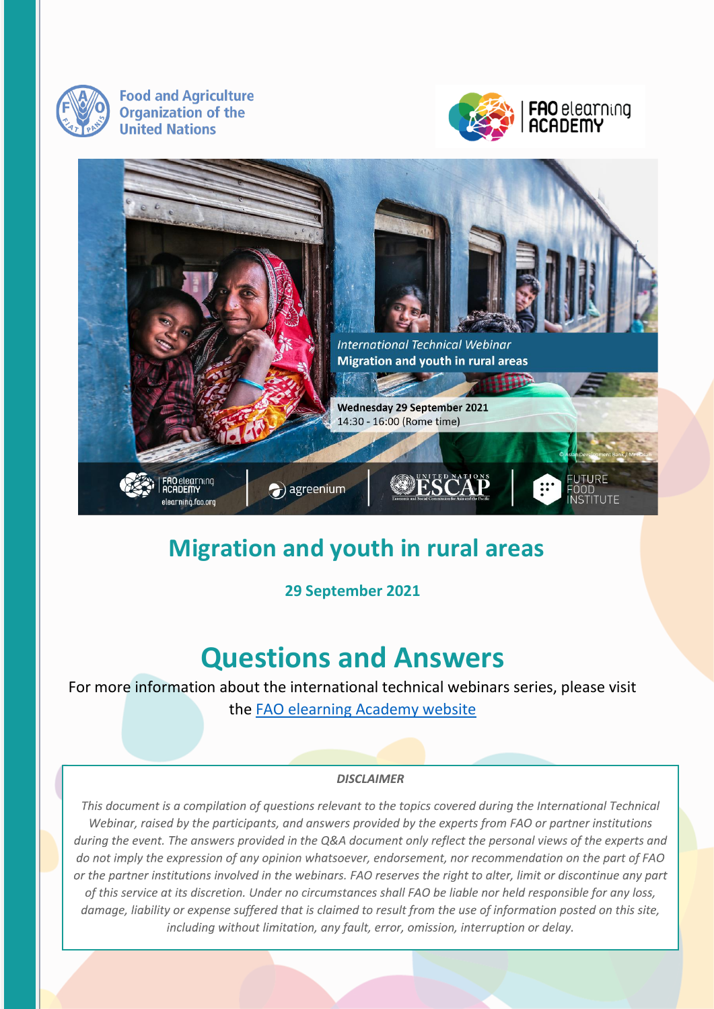

**Food and Agriculture Organization of the United Nations** 





## **Migration and youth in rural areas**

**29 September 2021**

# **Questions and Answers**

For more information about the international technical webinars series, please visit the [FAO elearning Academy website](https://elearning.fao.org/)

#### **DISCLAIMER**

This document is a compilation of questions relevant to the topics covered during the International Technical Webinar, raised by the participants, and answers provided by the experts from FAO or partner institutions during the event. The answers provided in the Q&A document only reflect the personal views of the experts and do not imply the expression of any opinion whatsoever, endorsement, nor recommendation on the part of FAO or the partner institutions involved in the webinars. FAO reserves the right to alter, limit or discontinue any part of this service at its discretion. Under no circumstances shall FAO be liable nor held responsible for any loss, damage, liability or expense suffered that is claimed to result from the use of information posted on this site, including without limitation, any fault, error, omission, interruption or delay.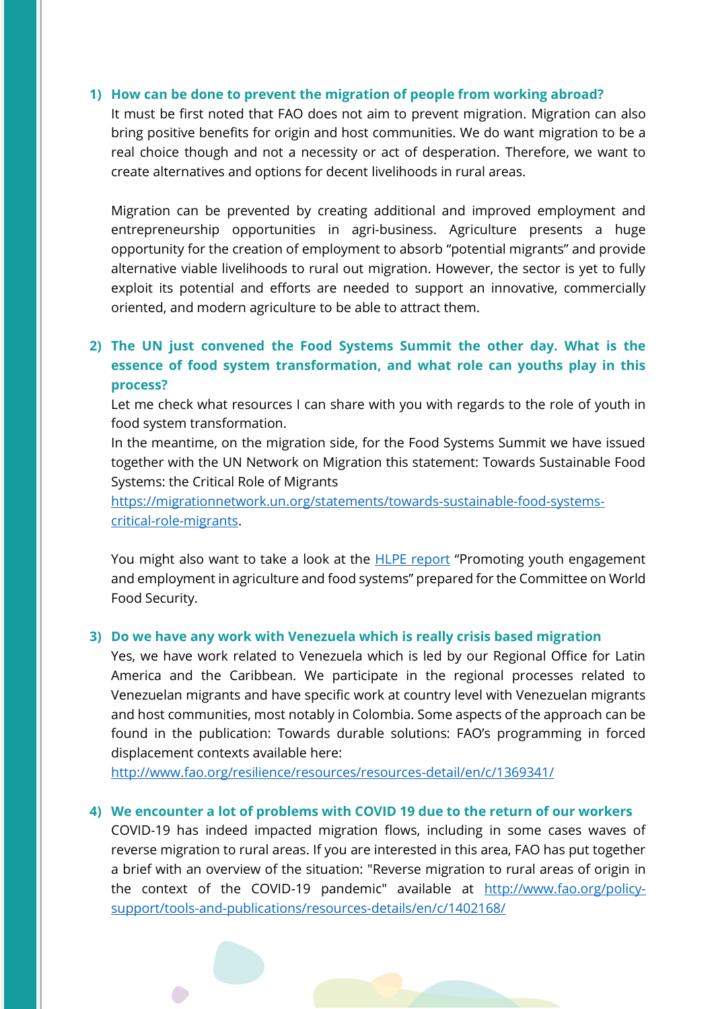#### **1) How can be done to prevent the migration of people from working abroad?**

It must be first noted that FAO does not aim to prevent migration. Migration can also bring positive benefits for origin and host communities. We do want migration to be a real choice though and not a necessity or act of desperation. Therefore, we want to create alternatives and options for decent livelihoods in rural areas.

Migration can be prevented by creating additional and improved employment and entrepreneurship opportunities in agri-business. Agriculture presents a huge opportunity for the creation of employment to absorb "potential migrants" and provide alternative viable livelihoods to rural out migration. However, the sector is yet to fully exploit its potential and efforts are needed to support an innovative, commercially oriented, and modern agriculture to be able to attract them.

## **2) The UN just convened the Food Systems Summit the other day. What is the essence of food system transformation, and what role can youths play in this process?**

Let me check what resources I can share with you with regards to the role of youth in food system transformation.

In the meantime, on the migration side, for the Food Systems Summit we have issued together with the UN Network on Migration this statement: Towards Sustainable Food Systems: the Critical Role of Migrants

[https://migrationnetwork.un.org/statements/towards-sustainable-food-systems](https://migrationnetwork.un.org/statements/towards-sustainable-food-systems-critical-role-migrants)[critical-role-migrants.](https://migrationnetwork.un.org/statements/towards-sustainable-food-systems-critical-role-migrants)

You might also want to take a look at the **HLPE report** "Promoting youth engagement and employment in agriculture and food systems" prepared for the Committee on World Food Security.

#### **3) Do we have any work with Venezuela which is really crisis based migration**

Yes, we have work related to Venezuela which is led by our Regional Office for Latin America and the Caribbean. We participate in the regional processes related to Venezuelan migrants and have specific work at country level with Venezuelan migrants and host communities, most notably in Colombia. Some aspects of the approach can be found in the publication: Towards durable solutions: FAO's programming in forced displacement contexts available here:

<http://www.fao.org/resilience/resources/resources-detail/en/c/1369341/>

#### **4) We encounter a lot of problems with COVID 19 due to the return of our workers**

COVID-19 has indeed impacted migration flows, including in some cases waves of reverse migration to rural areas. If you are interested in this area, FAO has put together a brief with an overview of the situation: "Reverse migration to rural areas of origin in the context of the COVID-19 pandemic" available at [http://www.fao.org/policy](http://www.fao.org/policy-support/tools-and-publications/resources-details/en/c/1402168/)[support/tools-and-publications/resources-details/en/c/1402168/](http://www.fao.org/policy-support/tools-and-publications/resources-details/en/c/1402168/)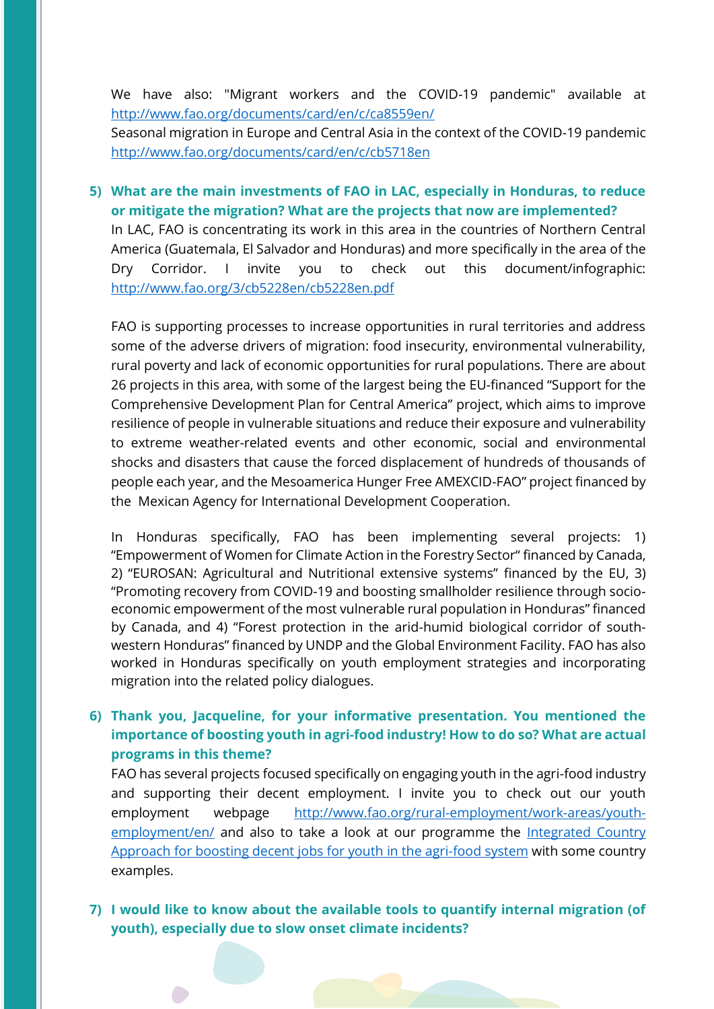We have also: "Migrant workers and the COVID-19 pandemic" available at <http://www.fao.org/documents/card/en/c/ca8559en/>

Seasonal migration in Europe and Central Asia in the context of the COVID-19 pandemic <http://www.fao.org/documents/card/en/c/cb5718en>

## **5) What are the main investments of FAO in LAC, especially in Honduras, to reduce or mitigate the migration? What are the projects that now are implemented?**

In LAC, FAO is concentrating its work in this area in the countries of Northern Central America (Guatemala, El Salvador and Honduras) and more specifically in the area of the Dry Corridor. I invite you to check out this document/infographic: <http://www.fao.org/3/cb5228en/cb5228en.pdf>

FAO is supporting processes to increase opportunities in rural territories and address some of the adverse drivers of migration: food insecurity, environmental vulnerability, rural poverty and lack of economic opportunities for rural populations. There are about 26 projects in this area, with some of the largest being the EU-financed "Support for the Comprehensive Development Plan for Central America" project, which aims to improve resilience of people in vulnerable situations and reduce their exposure and vulnerability to extreme weather-related events and other economic, social and environmental shocks and disasters that cause the forced displacement of hundreds of thousands of people each year, and the Mesoamerica Hunger Free AMEXCID-FAO" project financed by the Mexican Agency for International Development Cooperation.

In Honduras specifically, FAO has been implementing several projects: 1) "Empowerment of Women for Climate Action in the Forestry Sector" financed by Canada, 2) "EUROSAN: Agricultural and Nutritional extensive systems" financed by the EU, 3) "Promoting recovery from COVID-19 and boosting smallholder resilience through socioeconomic empowerment of the most vulnerable rural population in Honduras" financed by Canada, and 4) "Forest protection in the arid-humid biological corridor of southwestern Honduras" financed by UNDP and the Global Environment Facility. FAO has also worked in Honduras specifically on youth employment strategies and incorporating migration into the related policy dialogues.

## **6) Thank you, Jacqueline, for your informative presentation. You mentioned the importance of boosting youth in agri-food industry! How to do so? What are actual programs in this theme?**

FAO has several projects focused specifically on engaging youth in the agri-food industry and supporting their decent employment. I invite you to check out our youth employment webpage [http://www.fao.org/rural-employment/work-areas/youth](http://www.fao.org/rural-employment/work-areas/youth-employment/en/)[employment/en/](http://www.fao.org/rural-employment/work-areas/youth-employment/en/) and also to take a look at our programme the [Integrated Country](http://www.fao.org/rural-employment/work-areas/youth-employment/ica-programme/en/)  [Approach for boosting decent jobs for youth in the agri-food system](http://www.fao.org/rural-employment/work-areas/youth-employment/ica-programme/en/) with some country examples.

#### **7) I would like to know about the available tools to quantify internal migration (of youth), especially due to slow onset climate incidents?**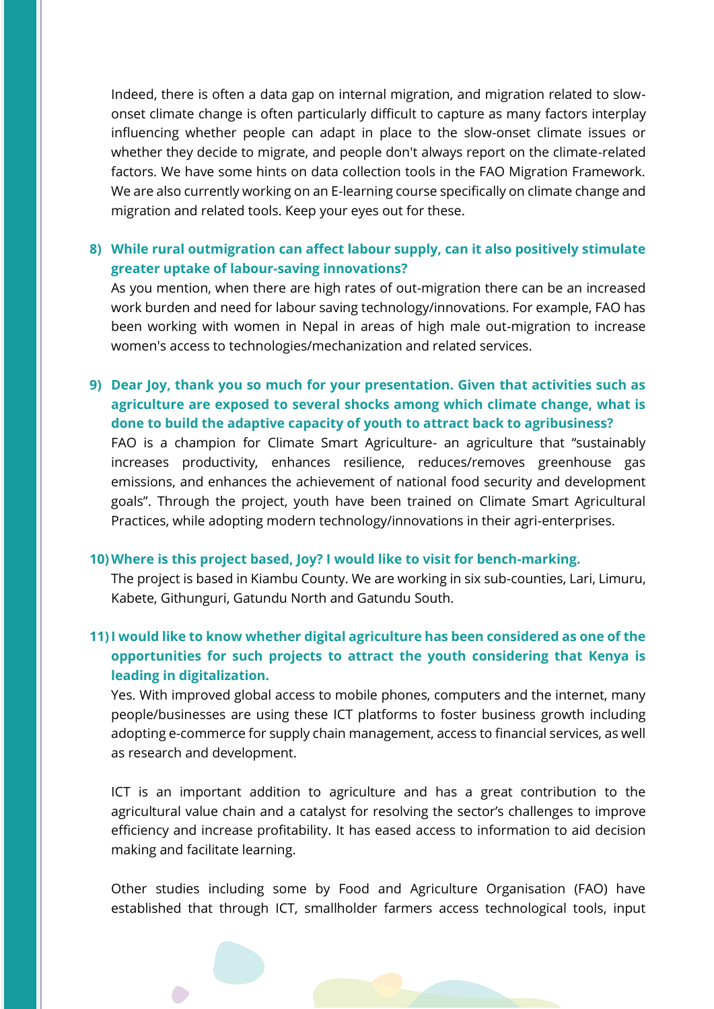Indeed, there is often a data gap on internal migration, and migration related to slowonset climate change is often particularly difficult to capture as many factors interplay influencing whether people can adapt in place to the slow-onset climate issues or whether they decide to migrate, and people don't always report on the climate-related factors. We have some hints on data collection tools in the FAO Migration Framework. We are also currently working on an E-learning course specifically on climate change and migration and related tools. Keep your eyes out for these.

#### **8) While rural outmigration can affect labour supply, can it also positively stimulate greater uptake of labour-saving innovations?**

As you mention, when there are high rates of out-migration there can be an increased work burden and need for labour saving technology/innovations. For example, FAO has been working with women in Nepal in areas of high male out-migration to increase women's access to technologies/mechanization and related services.

## **9) Dear Joy, thank you so much for your presentation. Given that activities such as agriculture are exposed to several shocks among which climate change, what is done to build the adaptive capacity of youth to attract back to agribusiness?**

FAO is a champion for Climate Smart Agriculture- an agriculture that "sustainably increases productivity, enhances resilience, reduces/removes greenhouse gas emissions, and enhances the achievement of national food security and development goals". Through the project, youth have been trained on Climate Smart Agricultural Practices, while adopting modern technology/innovations in their agri-enterprises.

#### **10)Where is this project based, Joy? I would like to visit for bench-marking.**

The project is based in Kiambu County. We are working in six sub-counties, Lari, Limuru, Kabete, Githunguri, Gatundu North and Gatundu South.

## **11)I would like to know whether digital agriculture has been considered as one of the opportunities for such projects to attract the youth considering that Kenya is leading in digitalization.**

Yes. With improved global access to mobile phones, computers and the internet, many people/businesses are using these ICT platforms to foster business growth including adopting e-commerce for supply chain management, access to financial services, as well as research and development.

ICT is an important addition to agriculture and has a great contribution to the agricultural value chain and a catalyst for resolving the sector's challenges to improve efficiency and increase profitability. It has eased access to information to aid decision making and facilitate learning.

Other studies including some by Food and Agriculture Organisation (FAO) have established that through ICT, smallholder farmers access technological tools, input